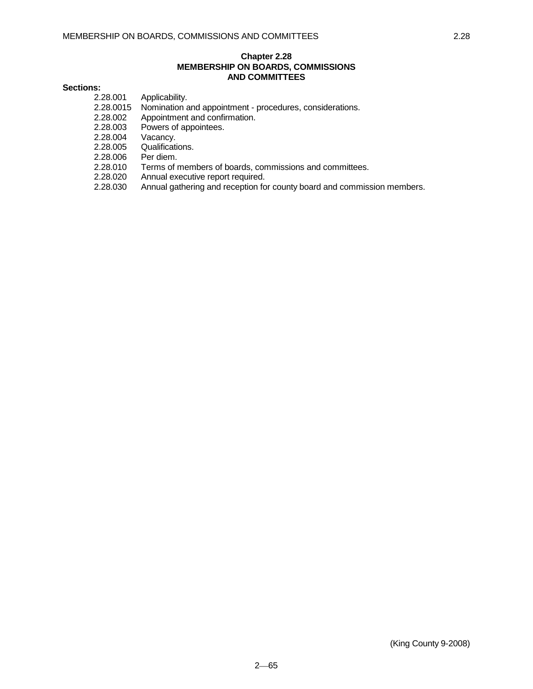## **Chapter 2.28 MEMBERSHIP ON BOARDS, COMMISSIONS AND COMMITTEES**

# **Sections:**

2.28.001 Applicability.

- 2.28.0015 Nomination and appointment procedures, considerations.
- 2.28.002 Appointment and confirmation.<br>2.28.003 Powers of appointees.
- Powers of appointees.
- 2.28.004 Vacancy.
- 2.28.005 Qualifications.
- 2.28.006 Per diem.
- 2.28.010 Terms of members of boards, commissions and committees.
- 
- 2.28.020 Annual executive report required.<br>2.28.030 Annual gathering and reception fo Annual gathering and reception for county board and commission members.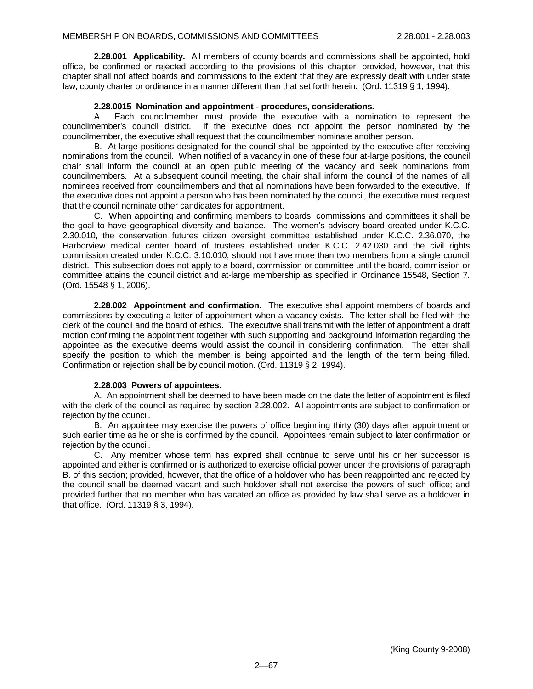**2.28.001 Applicability.** All members of county boards and commissions shall be appointed, hold office, be confirmed or rejected according to the provisions of this chapter; provided, however, that this chapter shall not affect boards and commissions to the extent that they are expressly dealt with under state law, county charter or ordinance in a manner different than that set forth herein. (Ord. 11319 § 1, 1994).

### **2.28.0015 Nomination and appointment - procedures, considerations.**

A. Each councilmember must provide the executive with a nomination to represent the councilmember's council district. If the executive does not appoint the person nominated by the councilmember, the executive shall request that the councilmember nominate another person.

B. At-large positions designated for the council shall be appointed by the executive after receiving nominations from the council. When notified of a vacancy in one of these four at-large positions, the council chair shall inform the council at an open public meeting of the vacancy and seek nominations from councilmembers. At a subsequent council meeting, the chair shall inform the council of the names of all nominees received from councilmembers and that all nominations have been forwarded to the executive. If the executive does not appoint a person who has been nominated by the council, the executive must request that the council nominate other candidates for appointment.

C. When appointing and confirming members to boards, commissions and committees it shall be the goal to have geographical diversity and balance. The women's advisory board created under K.C.C. 2.30.010, the conservation futures citizen oversight committee established under K.C.C. 2.36.070, the Harborview medical center board of trustees established under K.C.C. 2.42.030 and the civil rights commission created under K.C.C. 3.10.010, should not have more than two members from a single council district. This subsection does not apply to a board, commission or committee until the board, commission or committee attains the council district and at-large membership as specified in Ordinance 15548, Section 7. (Ord. 15548 § 1, 2006).

**2.28.002 Appointment and confirmation.** The executive shall appoint members of boards and commissions by executing a letter of appointment when a vacancy exists. The letter shall be filed with the clerk of the council and the board of ethics. The executive shall transmit with the letter of appointment a draft motion confirming the appointment together with such supporting and background information regarding the appointee as the executive deems would assist the council in considering confirmation. The letter shall specify the position to which the member is being appointed and the length of the term being filled. Confirmation or rejection shall be by council motion. (Ord. 11319 § 2, 1994).

#### **2.28.003 Powers of appointees.**

A. An appointment shall be deemed to have been made on the date the letter of appointment is filed with the clerk of the council as required by section 2.28.002. All appointments are subject to confirmation or rejection by the council.

B. An appointee may exercise the powers of office beginning thirty (30) days after appointment or such earlier time as he or she is confirmed by the council. Appointees remain subject to later confirmation or rejection by the council.

C. Any member whose term has expired shall continue to serve until his or her successor is appointed and either is confirmed or is authorized to exercise official power under the provisions of paragraph B. of this section; provided, however, that the office of a holdover who has been reappointed and rejected by the council shall be deemed vacant and such holdover shall not exercise the powers of such office; and provided further that no member who has vacated an office as provided by law shall serve as a holdover in that office. (Ord. 11319 § 3, 1994).